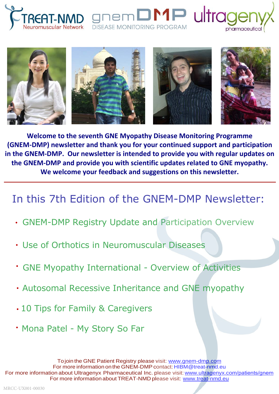



**DISEASE MONITORING PROGRAM** 

 $\mathsf{M}$  ultrad

pharmaceutical

**Welcome to the seventh GNE Myopathy Disease Monitoring Programme (GNEM-DMP) newsletter and thank you for your continued support and participation in the GNEM-DMP. Our newsletter is intended to provide you with regular updates on the GNEM-DMP and provide you with scientific updates related to GNE myopathy. We welcome your feedback and suggestions on this newsletter.** 

# In this 7th Edition of the GNEM-DMP Newsletter:

- GNEM-DMP Registry Update and Participation Overview
- Use of Orthotics in Neuromuscular Diseases
- GNE Myopathy International Overview of Activities •
- Autosomal Recessive Inheritance and GNE myopathy
- 10 Tips for Family & Caregivers
- Mona Patel My Story So Far

Tojoin the GNE Patient Registry please visit: www.gnem-dmp.com For more information on the GNEM-DMP contact: HIBM@treat-nmd.eu For more information about Ultragenyx Pharmaceutical Inc. please visit: www.ultragenyx.com/patients/gnem For more information about TREAT-NMD please visit: www.treat-nmd.eu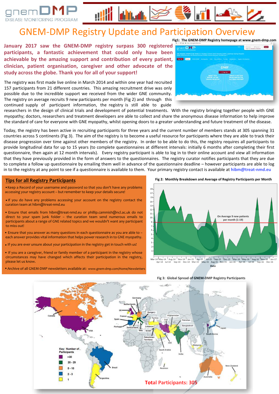



**January 2017 saw the GNEM-DMP registry surpass 300 registered participants, a fantastic achievement that could only have been achievable by the amazing support and contribution of every patient, clinician, patient organisation, caregiver and other advocate of the study across the globe. Thank you for all of your support!**

The registry was first made live online in March 2014 and within one year had recruited 157 participants from 21 different countries. This amazing recruitment drive was only possible due to the incredible support we received from the wider GNE community. The registry on average recruits 9 new participants per month (Fig 2) and through this continued supply of participant information, the registry is still able to guide



researchers in the design of clinical trials and development of potential treatments. With the registry bringing together people with GNE myopathy; doctors, researchers and treatment developers are able to collect and share the anonymous disease information to help improve the standard of care for everyone with GNE myopathy, whilst opening doors to a greater understanding and future treatment of the disease.

Today, the registry has been active in recruiting participants for three years and the current number of members stands at 305 spanning 31 countries across 5 continents (Fig 3). The aim of the registry is to become a useful resource for participants where they are able to track their disease progression over time against other members of the registry. In order to be able to do this, the registry requires all participants to provide longitudinal data for up to 15 years (to complete questionnaires at different intervals: initially 6 months after completing their first questionnaire, then again at 12 month intervals). Every registry participant is able to log in to their online account and view all information that they have previously provided in the form of answers to the questionnaires. The registry curator notifies participants that they are due to complete a follow up questionnaire by emailing them well in advance of the questionnaire deadline – however participants are able to log in to the registry at any point to see if a questionnaire is available to them. Your primary registry contact is available at **hibm@treat-nmd.eu**

#### **Tips for all Registry Participants**

•Keep a Record of your username and password so that you don't have any problems accessing your registry account – but remember to keep your details secure!

• If you do have any problems accessing your account on the registry contact the curation team at hibm@treat-nmd.eu

• Ensure that emails from hibm@treat-nmd.eu or phillip.cammish@ncl.ac.uk do not direct to your spam junk folder – the curation team send numerous emails to participants about a range of GNE related topics and we wouldn't want any participant to miss out!

• Ensure that you answer as many questions in each questionnaire as you are able to – each answer provides vital information that helps power research in to GNE myopathy.

•If you are ever unsure about your participation in the registry get in touch with us!

• If you are a caregiver, friend or family member of a participant in the registry whose circumstances may have changed which affects their participation in the registry, please let us know.

•Archive of all GNEM-DMP newsletters available at: www.gnem-dmp.com/Home/Newsletters

**Fig 2: Monthly Breakdown and Average of Registry Participants per Month**



Mar-14 <sup>I</sup>May-14 <sup>|</sup> Aug-14 <sup>|</sup> Nov-14 <sup>|</sup> Jan-15 <sup>|</sup> Apr-15 <sup>|</sup> Jul-15 | 'Sep-15 | Dec-15 | Mar-16 | May-16 | Aug-16 | Nov-16 | Jan-17<br>Apr-14 Jul-14 Sep-14 Dec-14 Mar-15 May-15 Aug-15 Nov-15 Jan-16 Apr-16 Jul-16 Sep-16 De **Date**



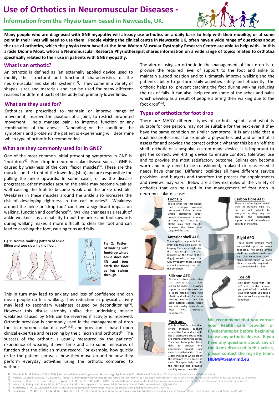# **Use of Orthotics in Neuromuscular Diseases -**

**Information from the Physio team based in Newcastle, UK.**



**Many people who are diagnosed with GNE myopathy will already use orthotics on a daily basis to help with their mobility, or at some point in their lives will need to use them. People visiting the clinical centre in Newcastle UK, often have a wide range of questions about the use of orthotics, which the physio team based at the John Walton Muscular Dystrophy Research Centre are able to help with. In this article Dionne Moat, who is a Neuromuscular Research Physiotherapist shares information on a wide range of topics related to orthotics specifically related to their use in patients with GNE myopathy.** 

#### **What is an orthotic?**

An orthotic is defined as 'an externally applied device used to modify the structural and functional characteristics of the neuromuscular and skeletal systems'<sup>(1)</sup>. They come in a variety of shapes, sizes and materials and can be used for many different reasons for different parts of the body but primarily lower limbs.

#### **What are they used for?**

Orthotics are prescribed to maintain or improve range of movement, improve the position of a joint, to restrict unwanted movement, help manage pain, to improve function or any combination of the above. Depending on the condition, the symptoms and problems the patient is experiencing will determine which type of orthotic is recommended.

#### **What are they commonly used for in GNE?**

One of the most common initial presenting symptoms in GNE is 'foot drop<sup>'(2)</sup>. Foot drop in neuromuscular disease such as GNE is caused by weakness of the dorsi flexor muscles<sup>(3)</sup>. These are the muscles on the front of the lower leg (shin) and are responsible for pulling the ankle upwards. In some cases, or as the disease progresses, other muscles around the ankle may become weak as well causing the foot to become weak and the ankle unstable. Weakness in these muscles around the ankle also increases the risk of developing tightness in the calf muscles<sup>(4)</sup>. Weakness around the ankle or 'drop foot' can have a significant impact on walking, function and confidence<sup>(5)</sup>. Walking changes as a result of ankle weakness as an inability to pull the ankle and foot upwards during walking makes it more difficult to clear the foot and can lead to catching the foot, causing trips and falls.

#### **Fig 1: Normal walking pattern of ankle lifting and toes clearing the floor. Fig 2: Pattern** <br>**lifting and toes clearing the floor.**





**of walking with footdrop where ankle does not lift and toes catch the floor as leg swings through.** 

This in turn may lead to anxiety and loss of confidence and can mean people do less walking. This reduction in physical activity may lead to secondary weakness caused by deconditioning<sup>(5)</sup>. However this disuse atrophy unlike the underlying muscle weakness caused by GNE can be reversed if activity is improved. Orthotic provision is commonly used in the management of drop foot in neuromuscular disease $(4,5,6)$  and provision is based upon clinical expertise and reasoning by the clinician and orthotist<sup>(5)</sup>. The success of the orthotic is usually measured by the patients' experience of wearing it over time and also some measures of function that the clinician might record. For example, how quickly or far the patient can walk, how they move around or how they perform everyday activities using the orthotic compared to without.

The aim of using an orthotic in the management of foot drop is to provide the required level of support to the foot and ankle to maintain a good position and to ultimately improve walking and the patients ability to perform daily activities safely and efficiently. The orthotic helps to prevent catching the foot during walking reducing the risk of falls. It can also help reduce some of the aches and pains which develop as a result of people altering their walking due to the foot drop(5,6) .

#### **Types of orthotics for foot drop**

There are MANY different types of orthotic splints and what is suitable for one person, may not be suitable for the next even if they have the same condition or similar symptoms. It is advisable that a qualified professional for example a physiotherapist and or orthotist assess for and provide the correct orthotic whether this be an 'off the shelf' orthotic or a bespoke, custom made device. It is important to get the correct, well-fitting device to ensure comfort, tolerated use and to provide the most satisfactory outcome. Splints can become worn and may need to be refashioned, replaced or reassessed if needs have changed. Different localities all have different service provision and budgets and therefore the process for appointments and reviews may vary. Below are a few examples of the variety of orthotics that can be used in the management of foot drop in neuromuscular disease:

#### **Foot Up**

This is often the first device tried. It is simple to use and can be worn inside the shoe.<br>Simple elasticated straps elasticated straps provide a minimum amount<br>of "foot up". There is a of "foot up". There is a plastic inlay that can fit between the laces and tongue of the shoe.

#### **Anterior shell AFO**

These splints help with foot drop but may also assist in keeping the knee straight. As the quadriceps muscles (muscles on the front of the thigh) remain stronger in GNE myopathy, these splints are not commonly used for this condition.

# **Silicone AFO**

made splint that requires a cast of your leg to be made. It provides support around the ankle but is more flexible than rigio plastic and allows for more sensory feedback then the solid material splints. These are not readily available in<br>local MHS orthotics orthotics departments.

#### **Push aqui**

This is a flexible splint that<br>offers medium support offers medium support around the foot and ankle. It has 3 elasticated straps that are wound around the ankle. They need to be pulled fairly tight to provide the appropriate support. Each strap is labelled with 1, 2, or 3 dots indicating which order the straps go in ie 1 dot = 1st strap. This splint helps to lift the foot but also provides stability around the ankle.

#### **Carbon fibre AFO**

These are often lighter weight than the standard rigid AFO<br>but are not suitable for but are not everyone as they may not provide the appropriate support around the inside and outside of the ankle.



# **Rigid AFO**

**Toe off**

foot drop.

These splints provide more substantial support for severe foot drop. They can be 'off the shelf' or custom made and can also sometimes have a strap at the ankle. A larger shoe is usually required to accommodate the splint.



#### This splint helps with 'toe off' which is the moment you push off with the ball of your foot when you take a step as well as preventing

**We recommend that you consult your health care provider or Physiotherapist before beginning to use any orthotic devise. If you have any questions about any of the items discussed in this article, please contact the registry team: HIBM@treat-nmd.eu**

- Schuch, C. M., & Pritham, C. H. (1994). International Standards Organization Terminology: Application to Prosthetics and Orthotics. JPO: Journal of Prosthetics and Orthotics, 6(1)
- 2) Nishino, I., Carrillo-Carrasco, N., & Argov, Z. (2015). GNE myopathy: current update and future therapy. Journal of Neurology, Neurosurgery, and Psychiatry, 86(4), 385–92. http://doi.org/10.1136/jnnp-2013-307051<br>3) Sack 3) Sackley, C., Disler, P. B., Turner-Stokes, L., Wade, D. T., Brittle, N., & Hoppitt, T. (2009). Rehabilitation interventions for foot drop in neuromuscular disease. The Cochrane Database of Systematic Reviews, (3),<br>4) Is
- 
- 4) Jaivin, J. S., Bishop, J. O., Braly, W. G., & Tullos, H. S. (1992). Management of Acquired Adult Dropfoot. Foot & Ankle International, 13(2), 98–104. 5) Ramdharry, G. M. (2010). Rehabilitation in practice: Management of lower motor neuron weakness. Clinical Rehabilitation, 24(5), 387–397.<br>6) Ramdharry, G. M. Day, R. L. Reilly, M. M. R. Marcden, L. E. (2012). Foot drop s
	- 6) Ramdharry, G. M., Day, B. L., Reilly, M. M., & Marsden, J. F. (2012). Foot drop splints improve proximal as well as distal leg control during gait in Charcot-Marie-Tooth disease. Muscle & Nerve, 46(4), 512–9.

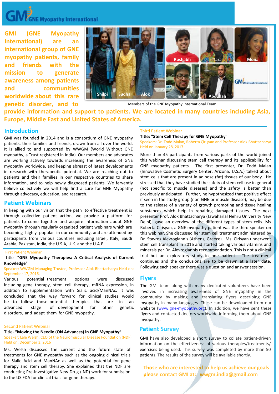# **GNE Myopathy International**

**GMI (GNE Myopathy International) are an international group of GNE myopathy patients, family and friends with the mission to generate awareness among patients and communities worldwide about this rare genetic disorder, and to** 



Members of the GNE Myopathy International Team

**provide information and support to patients. We are located in many countries including Asia, Europe, Middle East and United States of America.**

# **Introduction**

GMI was founded in 2014 and is a consortium of GNE myopathy patients, their families and friends, drawn from all over the world. It is allied to and supported by WWGM (World Without GNE myopathy, a Trust registered in India). Our members and advocates are working actively towards increasing the awareness of GNE myopathy worldwide, and keeping abreast of latest developments in research with therapeutic potential. We are reaching out to patients and their families in our respective countries to share information, and to help newly diagnosed patients. We fervently believe collectively we will help find a cure for GNE Myopathy through advocacy, education, and research.

# **Patient Webinars**

In keeping with our vision that the path to effective treatment is through collective patient action, we provide a platform for patients to come together and acquire information about GNE myopathy through regularly organized patient webinars which are becoming highly popular in our community, and are attended by participants from various countries including Israel, Italy, Saudi Arabia, Pakistan, India, the U.S.A, U.K. and the U.A.E.

#### First Patient Webinar

Title- **"GNE Myopathy Therapies: A Critical Analysis of Current Knowledge"**

#### Speaker: WWGM Managing Trustee, Professor Alok Bhattacharya Held on: September 17, 2016.

Various potential treatment options were discussed including gene therapy, stem cell therapy, mRNA expression, in addition to supplementation with Sialic acid/ManNAc. It was concluded that the way forward for clinical studies would be to follow those potential therapies that are in an advanced stage of development for other genetic disorders, and adapt them for GNE myopathy.

### Second Patient Webinar

# Title- **"Moving the Needle (ON Advances) in GNE Myopathy"**

Speaker: Lalé Welsh, CEO of the Neuromuscular Disease Foundation (NDF) Held on: December 3, 2016

Ms. Welsh discussed the current and the future state of treatments for GNE myopathy such as the ongoing clinical trials for Sialic Acid and ManNAc as well as the potential for gene therapy and stem cell therapy. She explained that the NDF are conducting Pre-Investigative New Drug (IND) work for submission to the US FDA for clinical trials for gene therapy.

#### Third Patient Webinar

**Title: "Stem Cell Therapy for GNE Myopathy"** 

Speakers: Dr. Todd Malan, Roberta Çirişyan and Professor Alok Bhattacharya Held on January 28, 2017

More than 45 participants from various parts of the world joined this webinar discussing stem cell therapy and its applicability for GNE myopathy patients. The first presenter, Dr. Todd Malan (Innovative Cosmetic Surgery Center, Arizona, U.S.A.) talked about stem cells that are present in adipose (fat) tissues of our body. He stressed that they have studied the safety of stem cell use in general (not specific to muscle diseases) and the safety is better than previously anticipated. Further, he hypothesized that positive effect if seen in the study group (non-GNE or muscle disease), may be due to the release of a variety of growth promoting and tissue healing substances which help in repairing damaged tissues. The next presenter Prof. Alok Bhattacharya (Jawaharlal Nehru University New Delhi), gave an overview of the different types of stem cells. Ms Roberta Cirisyan, a GNE myopathy patient was the third speaker on this webinar. She discussed her stem cell treatment administered by Dr. Stavros Alevrogiannis (Athens, Greece). Ms. Cirisyan underwent stem cell transplant in 2016 and started taking various vitamins and minerals per Dr. Alevrogiannis recommendation. This is not a clinical trial but an exploratory study in one patient. The treatment continues and the conclusions are to be drawn at a later date. Following each speaker there was a question and answer session.

# **Flyers**

The GMI team along with many dedicated volunteers have been involved in increasing awareness of GNE myopathy in the community by making and translating flyers describing GNE myopathy in many languages. These can be downloaded from our website (www.gne-myopathy.org). In addition, we have sent these flyers and contacted doctors worldwide informing them about GNE myopathy.

# **Patient Survey**

GMI have also developed a short survey to collate patient-driven information on the effectiveness of various therapies/treatments/ exercises being used. This survey was completed by more than 50 patients. The results of the survey will be available shortly.

**Those who are interested to help us achieve our goals please contact GMI at: wwgm.india@gmail.com**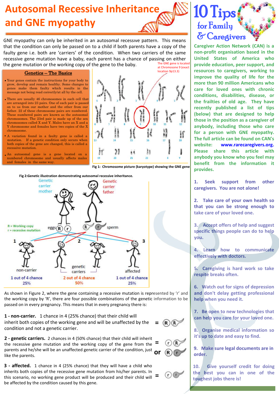

GNE myopathy can only be inherited in an autosomal recessive pattern. This means that the condition can only be passed on to a child if both parents have a copy of the faulty gene i.e. both are 'carriers' of the condition. When two carriers of the same recessive gene mutation have a baby, each parent has a chance of passing on either<br>the gene mutation or the working copy of the gene to the baby. the gene mutation or the working copy of the gene to the baby.

#### at Chromosone 9 (exact location 9p13.3)

#### Genetics – The Basics

- **•** Your genes contain the instructions for your body to grow, develop and remain healthy. Some changes to genes make them faulty which results in the message not being read correctly/at all by the cell.
- There are usually 46 chromosomes in each cell that are arranged into 23 pairs. One of each pair is passed on to us from our mother and the other from our father. 22 of these chromosome pairs are numbered. These numbered pairs are known as the autosomal chromosomes. The 23rd pair is made up of the sex chromosomes called X and Y. Males have an X and a Y chromosome and females have two copies of the X chromosome.
- A variation found in a faulty gene is called a mutation. If a genetic condition only occurs when both copies of the gene are changed, this is called a recessive mutation.
- An autosomal gene is a gene located on a numbered chromosome and usually affects males and females in the same way.



**Fig 1: Chromosome picture (karyotype) showing the GNE gene**

**=**

 $(R)(R)$ 

 $\sigma$ 

**Fig 2:Genetic illustration demonstrating autosomal recessive inheritance.**



As shown in Figure 2, where the gene containing a recessive mutation is represented by 'r' and the working copy by 'R', there are four possible combinations of the genetic information to be passed on in every pregnancy. This means that in every pregnancy there is:

**1 - non-carrier.** 1 chance in 4 (25% chance) that their child will inherit both copies of the working gene and will be unaffected by the condition and not a genetic carrier.

**2 - genetic carriers.** 2 chances in 4 (50% chance) that their child will inherit the recessive gene mutation and the working copy of the gene from the parents and he/she will be an unaffected genetic carrier of the condition, just like the parents. **= or**

**3 - affected.** 1 chance in 4 (25% chance) that they will have a child who inherits both copies of the recessive gene mutation from his/her parents. In this scenario, no working gene product will be produced and their child will be affected by the condition caused by this gene. **=** **provide education, peer support, and resources to caregivers, working to improve the quality of life for the more than 90 million Americans who care for loved ones with chronic conditions, disabilities, disease, or the frailties of old age. They have recently published a list of tips** 

**Caregiver Action Network (CAN) is a non-profit organisation based in the United States of America who** 

10 Tips

for Family

& Caregivers

**(below) that are designed to help those in the position as a caregiver of anybody, including those who care for a person with GNE myopathy. The full article can be found on CAN's website: www.rarecaregivers.org. Please share this article with anybody you know who you feel may benefit from the information it provides.**

**1. Seek support from other caregivers. You are not alone!**

**2. Take care of your own health so that you can be strong enough to take care of your loved one.**

**3. Accept offers of help and suggest specific things people can do to help you.**

**4. Learn how to communicate effectively with doctors.**

**5. Caregiving is hard work so take respite breaks often.**

**6. Watch out for signs of depression and don't delay getting professional help when you need it.**

**7. Be open to new technologies that can help you care for your loved one.**

**8. Organise medical information so it's up to date and easy to find.**

**9. Make sure legal documents are in order.**

**10. Give yourself credit for doing the best you can in one of the toughest jobs there is!**